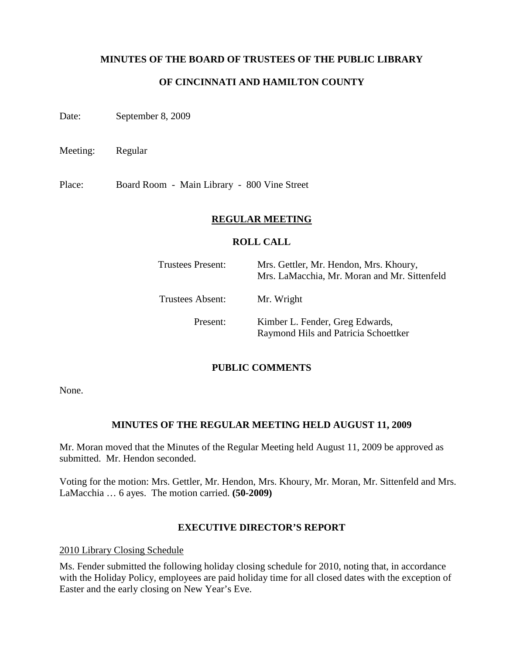#### **MINUTES OF THE BOARD OF TRUSTEES OF THE PUBLIC LIBRARY**

## **OF CINCINNATI AND HAMILTON COUNTY**

Date: September 8, 2009

Meeting: Regular

Place: Board Room - Main Library - 800 Vine Street

#### **REGULAR MEETING**

#### **ROLL CALL**

| Trustees Present: | Mrs. Gettler, Mr. Hendon, Mrs. Khoury,<br>Mrs. LaMacchia, Mr. Moran and Mr. Sittenfeld |
|-------------------|----------------------------------------------------------------------------------------|
| Trustees Absent:  | Mr. Wright                                                                             |
| Present:          | Kimber L. Fender, Greg Edwards,<br>Raymond Hils and Patricia Schoettker                |

#### **PUBLIC COMMENTS**

None.

#### **MINUTES OF THE REGULAR MEETING HELD AUGUST 11, 2009**

Mr. Moran moved that the Minutes of the Regular Meeting held August 11, 2009 be approved as submitted. Mr. Hendon seconded.

Voting for the motion: Mrs. Gettler, Mr. Hendon, Mrs. Khoury, Mr. Moran, Mr. Sittenfeld and Mrs. LaMacchia … 6 ayes. The motion carried. **(50-2009)**

#### **EXECUTIVE DIRECTOR'S REPORT**

2010 Library Closing Schedule

Ms. Fender submitted the following holiday closing schedule for 2010, noting that, in accordance with the Holiday Policy, employees are paid holiday time for all closed dates with the exception of Easter and the early closing on New Year's Eve.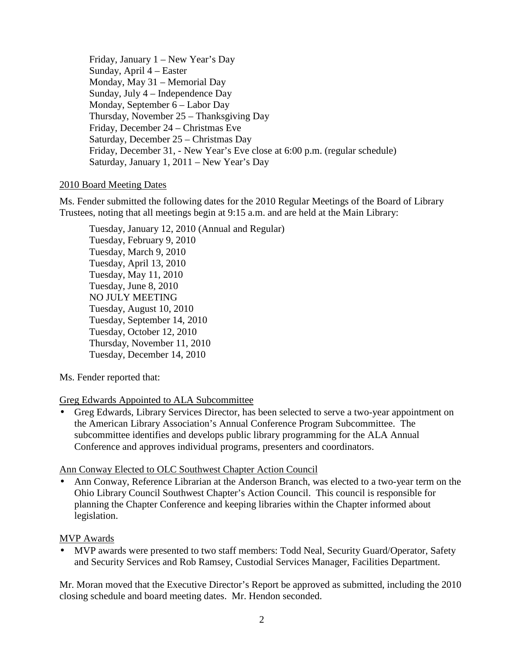Friday, January 1 – New Year's Day Sunday, April 4 – Easter Monday, May 31 – Memorial Day Sunday, July 4 – Independence Day Monday, September 6 – Labor Day Thursday, November 25 – Thanksgiving Day Friday, December 24 – Christmas Eve Saturday, December 25 – Christmas Day Friday, December 31, - New Year's Eve close at 6:00 p.m. (regular schedule) Saturday, January 1, 2011 – New Year's Day

## 2010 Board Meeting Dates

Ms. Fender submitted the following dates for the 2010 Regular Meetings of the Board of Library Trustees, noting that all meetings begin at 9:15 a.m. and are held at the Main Library:

Tuesday, January 12, 2010 (Annual and Regular) Tuesday, February 9, 2010 Tuesday, March 9, 2010 Tuesday, April 13, 2010 Tuesday, May 11, 2010 Tuesday, June 8, 2010 NO JULY MEETING Tuesday, August 10, 2010 Tuesday, September 14, 2010 Tuesday, October 12, 2010 Thursday, November 11, 2010 Tuesday, December 14, 2010

Ms. Fender reported that:

## Greg Edwards Appointed to ALA Subcommittee

• Greg Edwards, Library Services Director, has been selected to serve a two-year appointment on the American Library Association's Annual Conference Program Subcommittee. The subcommittee identifies and develops public library programming for the ALA Annual Conference and approves individual programs, presenters and coordinators.

## Ann Conway Elected to OLC Southwest Chapter Action Council

• Ann Conway, Reference Librarian at the Anderson Branch, was elected to a two-year term on the Ohio Library Council Southwest Chapter's Action Council. This council is responsible for planning the Chapter Conference and keeping libraries within the Chapter informed about legislation.

## MVP Awards

• MVP awards were presented to two staff members: Todd Neal, Security Guard/Operator, Safety and Security Services and Rob Ramsey, Custodial Services Manager, Facilities Department.

Mr. Moran moved that the Executive Director's Report be approved as submitted, including the 2010 closing schedule and board meeting dates. Mr. Hendon seconded.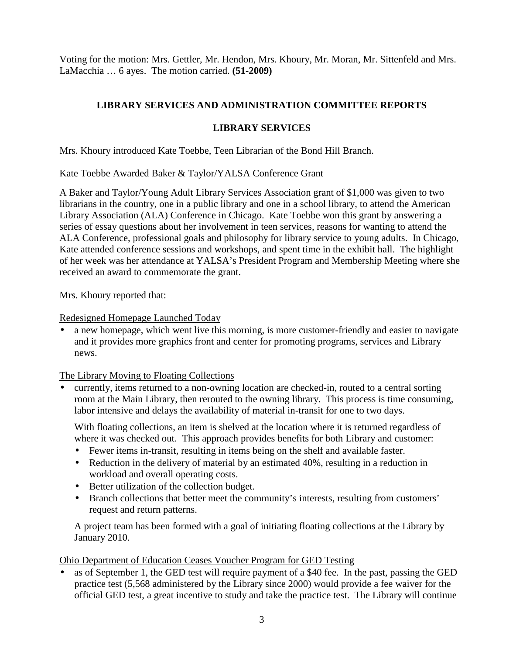Voting for the motion: Mrs. Gettler, Mr. Hendon, Mrs. Khoury, Mr. Moran, Mr. Sittenfeld and Mrs. LaMacchia … 6 ayes. The motion carried. **(51-2009)**

# **LIBRARY SERVICES AND ADMINISTRATION COMMITTEE REPORTS**

## **LIBRARY SERVICES**

Mrs. Khoury introduced Kate Toebbe, Teen Librarian of the Bond Hill Branch.

## Kate Toebbe Awarded Baker & Taylor/YALSA Conference Grant

A Baker and Taylor/Young Adult Library Services Association grant of \$1,000 was given to two librarians in the country, one in a public library and one in a school library, to attend the American Library Association (ALA) Conference in Chicago. Kate Toebbe won this grant by answering a series of essay questions about her involvement in teen services, reasons for wanting to attend the ALA Conference, professional goals and philosophy for library service to young adults. In Chicago, Kate attended conference sessions and workshops, and spent time in the exhibit hall. The highlight of her week was her attendance at YALSA's President Program and Membership Meeting where she received an award to commemorate the grant.

Mrs. Khoury reported that:

#### Redesigned Homepage Launched Today

• a new homepage, which went live this morning, is more customer-friendly and easier to navigate and it provides more graphics front and center for promoting programs, services and Library news.

The Library Moving to Floating Collections

• currently, items returned to a non-owning location are checked-in, routed to a central sorting room at the Main Library, then rerouted to the owning library. This process is time consuming, labor intensive and delays the availability of material in-transit for one to two days.

With floating collections, an item is shelved at the location where it is returned regardless of where it was checked out. This approach provides benefits for both Library and customer:

- Fewer items in-transit, resulting in items being on the shelf and available faster.
- Reduction in the delivery of material by an estimated 40%, resulting in a reduction in workload and overall operating costs.
- Better utilization of the collection budget.
- Branch collections that better meet the community's interests, resulting from customers' request and return patterns.

A project team has been formed with a goal of initiating floating collections at the Library by January 2010.

## Ohio Department of Education Ceases Voucher Program for GED Testing

• as of September 1, the GED test will require payment of a \$40 fee. In the past, passing the GED practice test (5,568 administered by the Library since 2000) would provide a fee waiver for the official GED test, a great incentive to study and take the practice test. The Library will continue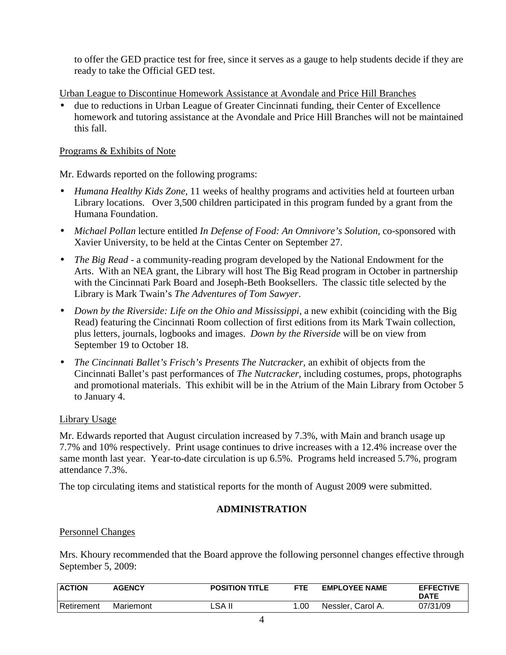to offer the GED practice test for free, since it serves as a gauge to help students decide if they are ready to take the Official GED test.

Urban League to Discontinue Homework Assistance at Avondale and Price Hill Branches

• due to reductions in Urban League of Greater Cincinnati funding, their Center of Excellence homework and tutoring assistance at the Avondale and Price Hill Branches will not be maintained this fall.

#### Programs & Exhibits of Note

Mr. Edwards reported on the following programs:

- *Humana Healthy Kids Zone,* 11 weeks of healthy programs and activities held at fourteen urban Library locations. Over 3,500 children participated in this program funded by a grant from the Humana Foundation.
- *Michael Pollan* lecture entitled *In Defense of Food: An Omnivore's Solution,* co-sponsored with Xavier University, to be held at the Cintas Center on September 27.
- *The Big Read* a community-reading program developed by the National Endowment for the Arts. With an NEA grant, the Library will host The Big Read program in October in partnership with the Cincinnati Park Board and Joseph-Beth Booksellers. The classic title selected by the Library is Mark Twain's *The Adventures of Tom Sawyer*.
- *Down by the Riverside: Life on the Ohio and Mississippi*, a new exhibit (coinciding with the Big Read) featuring the Cincinnati Room collection of first editions from its Mark Twain collection, plus letters, journals, logbooks and images. *Down by the Riverside* will be on view from September 19 to October 18.
- *The Cincinnati Ballet's Frisch's Presents The Nutcracker,* an exhibit of objects from the Cincinnati Ballet's past performances of *The Nutcracker,* including costumes, props, photographs and promotional materials. This exhibit will be in the Atrium of the Main Library from October 5 to January 4.

## Library Usage

Mr. Edwards reported that August circulation increased by 7.3%, with Main and branch usage up 7.7% and 10% respectively. Print usage continues to drive increases with a 12.4% increase over the same month last year. Year-to-date circulation is up 6.5%. Programs held increased 5.7%, program attendance 7.3%.

The top circulating items and statistical reports for the month of August 2009 were submitted.

## **ADMINISTRATION**

#### Personnel Changes

Mrs. Khoury recommended that the Board approve the following personnel changes effective through September 5, 2009:

| <b>ACTION</b> | <b>AGENCY</b> | <b>POSITION TITLE</b> | <b>FTE</b> | <b>EMPLOYEE NAME</b> | <b>EFFECTIVE</b><br><b>DATE</b> |
|---------------|---------------|-----------------------|------------|----------------------|---------------------------------|
| Retirement    | Mariemont     | LSA II                | .00        | Nessler, Carol A.    | 07/31/09                        |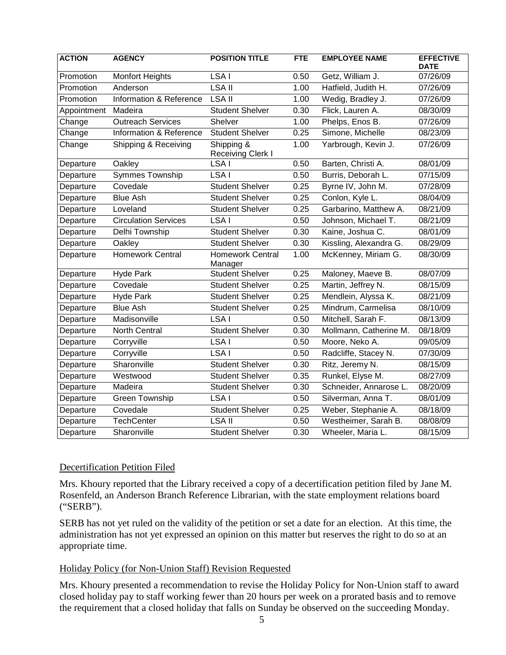| <b>ACTION</b> | <b>AGENCY</b>               | <b>POSITION TITLE</b>           | <b>FTE</b> | <b>EMPLOYEE NAME</b>   | <b>EFFECTIVE</b><br><b>DATE</b> |
|---------------|-----------------------------|---------------------------------|------------|------------------------|---------------------------------|
| Promotion     | <b>Monfort Heights</b>      | LSA I                           | 0.50       | Getz, William J.       | 07/26/09                        |
| Promotion     | Anderson                    | <b>LSA II</b>                   | 1.00       | Hatfield, Judith H.    | 07/26/09                        |
| Promotion     | Information & Reference     | LSA II                          | 1.00       | Wedig, Bradley J.      | 07/26/09                        |
| Appointment   | Madeira                     | <b>Student Shelver</b>          | 0.30       | Flick, Lauren A.       | 08/30/09                        |
| Change        | <b>Outreach Services</b>    | Shelver                         | 1.00       | Phelps, Enos B.        | 07/26/09                        |
| Change        | Information & Reference     | <b>Student Shelver</b>          | 0.25       | Simone, Michelle       | 08/23/09                        |
| Change        | Shipping & Receiving        | Shipping &<br>Receiving Clerk I | 1.00       | Yarbrough, Kevin J.    | 07/26/09                        |
| Departure     | Oakley                      | LSA <sub>I</sub>                | 0.50       | Barten, Christi A.     | 08/01/09                        |
| Departure     | <b>Symmes Township</b>      | LSA I                           | 0.50       | Burris, Deborah L.     | 07/15/09                        |
| Departure     | Covedale                    | <b>Student Shelver</b>          | 0.25       | Byrne IV, John M.      | 07/28/09                        |
| Departure     | <b>Blue Ash</b>             | <b>Student Shelver</b>          | 0.25       | Conlon, Kyle L.        | 08/04/09                        |
| Departure     | Loveland                    | <b>Student Shelver</b>          | 0.25       | Garbarino, Matthew A.  | 08/21/09                        |
| Departure     | <b>Circulation Services</b> | LSA I                           | 0.50       | Johnson, Michael T.    | 08/21/09                        |
| Departure     | Delhi Township              | <b>Student Shelver</b>          | 0.30       | Kaine, Joshua C.       | 08/01/09                        |
| Departure     | Oakley                      | <b>Student Shelver</b>          | 0.30       | Kissling, Alexandra G. | 08/29/09                        |
| Departure     | <b>Homework Central</b>     | Homework Central<br>Manager     | 1.00       | McKenney, Miriam G.    | 08/30/09                        |
| Departure     | <b>Hyde Park</b>            | <b>Student Shelver</b>          | 0.25       | Maloney, Maeve B.      | 08/07/09                        |
| Departure     | Covedale                    | <b>Student Shelver</b>          | 0.25       | Martin, Jeffrey N.     | 08/15/09                        |
| Departure     | <b>Hyde Park</b>            | <b>Student Shelver</b>          | 0.25       | Mendlein, Alyssa K.    | 08/21/09                        |
| Departure     | <b>Blue Ash</b>             | <b>Student Shelver</b>          | 0.25       | Mindrum, Carmelisa     | 08/10/09                        |
| Departure     | Madisonville                | LSA I                           | 0.50       | Mitchell, Sarah F.     | 08/13/09                        |
| Departure     | <b>North Central</b>        | <b>Student Shelver</b>          | 0.30       | Mollmann, Catherine M. | 08/18/09                        |
| Departure     | Corryville                  | LSA I                           | 0.50       | Moore, Neko A.         | 09/05/09                        |
| Departure     | Corryville                  | LSA I                           | 0.50       | Radcliffe, Stacey N.   | 07/30/09                        |
| Departure     | Sharonville                 | <b>Student Shelver</b>          | 0.30       | Ritz, Jeremy N.        | 08/15/09                        |
| Departure     | Westwood                    | <b>Student Shelver</b>          | 0.35       | Runkel, Elyse M.       | 08/27/09                        |
| Departure     | Madeira                     | <b>Student Shelver</b>          | 0.30       | Schneider, Annarose L. | 08/20/09                        |
| Departure     | Green Township              | LSA I                           | 0.50       | Silverman, Anna T.     | 08/01/09                        |
| Departure     | Covedale                    | <b>Student Shelver</b>          | 0.25       | Weber, Stephanie A.    | 08/18/09                        |
| Departure     | <b>TechCenter</b>           | <b>LSA II</b>                   | 0.50       | Westheimer, Sarah B.   | 08/08/09                        |
| Departure     | Sharonville                 | <b>Student Shelver</b>          | 0.30       | Wheeler, Maria L.      | 08/15/09                        |

#### Decertification Petition Filed

Mrs. Khoury reported that the Library received a copy of a decertification petition filed by Jane M. Rosenfeld, an Anderson Branch Reference Librarian, with the state employment relations board ("SERB").

SERB has not yet ruled on the validity of the petition or set a date for an election. At this time, the administration has not yet expressed an opinion on this matter but reserves the right to do so at an appropriate time.

## Holiday Policy (for Non-Union Staff) Revision Requested

Mrs. Khoury presented a recommendation to revise the Holiday Policy for Non-Union staff to award closed holiday pay to staff working fewer than 20 hours per week on a prorated basis and to remove the requirement that a closed holiday that falls on Sunday be observed on the succeeding Monday.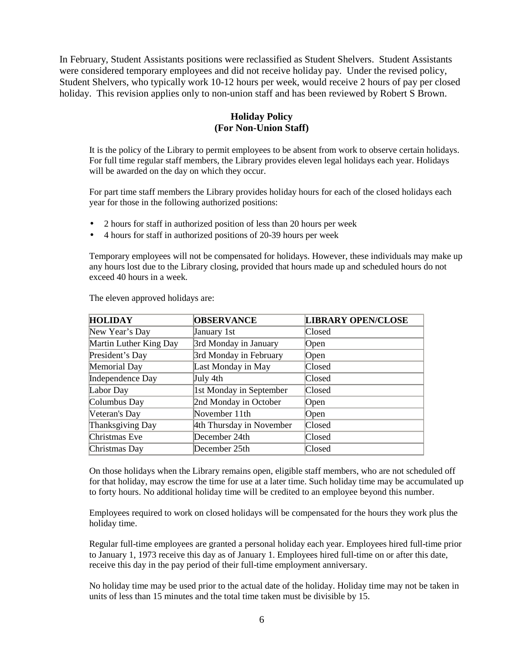In February, Student Assistants positions were reclassified as Student Shelvers. Student Assistants were considered temporary employees and did not receive holiday pay. Under the revised policy, Student Shelvers, who typically work 10-12 hours per week, would receive 2 hours of pay per closed holiday. This revision applies only to non-union staff and has been reviewed by Robert S Brown.

## **Holiday Policy (For Non-Union Staff)**

It is the policy of the Library to permit employees to be absent from work to observe certain holidays. For full time regular staff members, the Library provides eleven legal holidays each year. Holidays will be awarded on the day on which they occur.

For part time staff members the Library provides holiday hours for each of the closed holidays each year for those in the following authorized positions:

- 2 hours for staff in authorized position of less than 20 hours per week
- 4 hours for staff in authorized positions of 20-39 hours per week

Temporary employees will not be compensated for holidays. However, these individuals may make up any hours lost due to the Library closing, provided that hours made up and scheduled hours do not exceed 40 hours in a week.

| <b>HOLIDAY</b>         | <b>OBSERVANCE</b>        | <b>LIBRARY OPEN/CLOSE</b> |
|------------------------|--------------------------|---------------------------|
| New Year's Day         | January 1st              | Closed                    |
| Martin Luther King Day | 3rd Monday in January    | <b>Open</b>               |
| President's Day        | 3rd Monday in February   | $\Omega$                  |
| Memorial Day           | Last Monday in May       | Closed                    |
| Independence Day       | July 4th                 | Closed                    |
| Labor Day              | 1st Monday in September  | <b>Closed</b>             |
| Columbus Day           | 2nd Monday in October    | Open                      |
| Veteran's Day          | November 11th            | Open                      |
| Thanksgiving Day       | 4th Thursday in November | <b>Closed</b>             |
| Christmas Eve          | December 24th            | Closed                    |
| Christmas Day          | December 25th            | Closed                    |

The eleven approved holidays are:

On those holidays when the Library remains open, eligible staff members, who are not scheduled off for that holiday, may escrow the time for use at a later time. Such holiday time may be accumulated up to forty hours. No additional holiday time will be credited to an employee beyond this number.

Employees required to work on closed holidays will be compensated for the hours they work plus the holiday time.

Regular full-time employees are granted a personal holiday each year. Employees hired full-time prior to January 1, 1973 receive this day as of January 1. Employees hired full-time on or after this date, receive this day in the pay period of their full-time employment anniversary.

No holiday time may be used prior to the actual date of the holiday. Holiday time may not be taken in units of less than 15 minutes and the total time taken must be divisible by 15.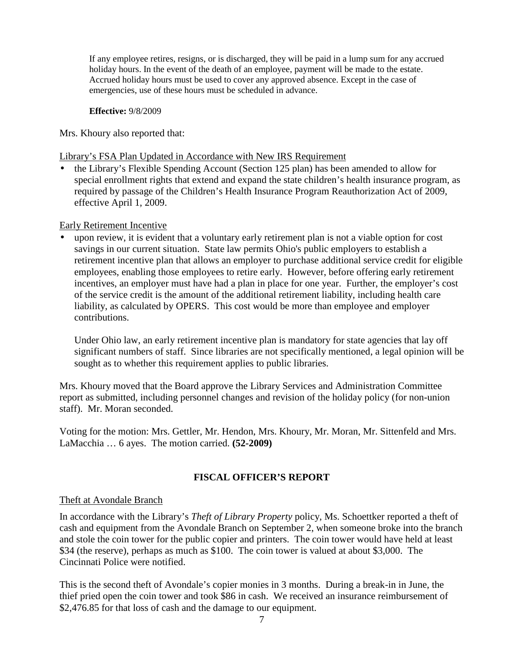If any employee retires, resigns, or is discharged, they will be paid in a lump sum for any accrued holiday hours. In the event of the death of an employee, payment will be made to the estate. Accrued holiday hours must be used to cover any approved absence. Except in the case of emergencies, use of these hours must be scheduled in advance.

**Effective:** 9/8/2009

Mrs. Khoury also reported that:

#### Library's FSA Plan Updated in Accordance with New IRS Requirement

• the Library's Flexible Spending Account (Section 125 plan) has been amended to allow for special enrollment rights that extend and expand the state children's health insurance program, as required by passage of the Children's Health Insurance Program Reauthorization Act of 2009, effective April 1, 2009.

## Early Retirement Incentive

• upon review, it is evident that a voluntary early retirement plan is not a viable option for cost savings in our current situation. State law permits Ohio's public employers to establish a retirement incentive plan that allows an employer to purchase additional service credit for eligible employees, enabling those employees to retire early. However, before offering early retirement incentives, an employer must have had a plan in place for one year. Further, the employer's cost of the service credit is the amount of the additional retirement liability, including health care liability, as calculated by OPERS. This cost would be more than employee and employer contributions.

Under Ohio law, an early retirement incentive plan is mandatory for state agencies that lay off significant numbers of staff. Since libraries are not specifically mentioned, a legal opinion will be sought as to whether this requirement applies to public libraries.

Mrs. Khoury moved that the Board approve the Library Services and Administration Committee report as submitted, including personnel changes and revision of the holiday policy (for non-union staff). Mr. Moran seconded.

Voting for the motion: Mrs. Gettler, Mr. Hendon, Mrs. Khoury, Mr. Moran, Mr. Sittenfeld and Mrs. LaMacchia … 6 ayes. The motion carried. **(52-2009)**

# **FISCAL OFFICER'S REPORT**

## Theft at Avondale Branch

In accordance with the Library's *Theft of Library Property* policy, Ms. Schoettker reported a theft of cash and equipment from the Avondale Branch on September 2, when someone broke into the branch and stole the coin tower for the public copier and printers. The coin tower would have held at least \$34 (the reserve), perhaps as much as \$100. The coin tower is valued at about \$3,000. The Cincinnati Police were notified.

This is the second theft of Avondale's copier monies in 3 months. During a break-in in June, the thief pried open the coin tower and took \$86 in cash. We received an insurance reimbursement of \$2,476.85 for that loss of cash and the damage to our equipment.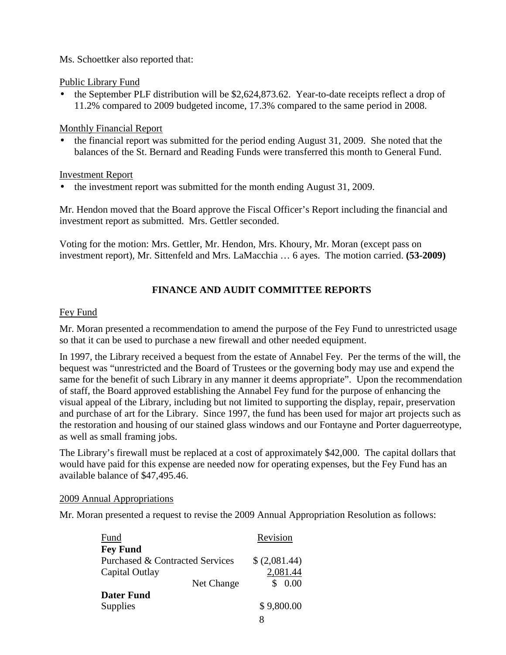### Ms. Schoettker also reported that:

#### Public Library Fund

• the September PLF distribution will be \$2,624,873.62. Year-to-date receipts reflect a drop of 11.2% compared to 2009 budgeted income, 17.3% compared to the same period in 2008.

#### Monthly Financial Report

• the financial report was submitted for the period ending August 31, 2009. She noted that the balances of the St. Bernard and Reading Funds were transferred this month to General Fund.

#### Investment Report

• the investment report was submitted for the month ending August 31, 2009.

Mr. Hendon moved that the Board approve the Fiscal Officer's Report including the financial and investment report as submitted. Mrs. Gettler seconded.

Voting for the motion: Mrs. Gettler, Mr. Hendon, Mrs. Khoury, Mr. Moran (except pass on investment report), Mr. Sittenfeld and Mrs. LaMacchia … 6 ayes. The motion carried. **(53-2009)**

## **FINANCE AND AUDIT COMMITTEE REPORTS**

#### Fey Fund

Mr. Moran presented a recommendation to amend the purpose of the Fey Fund to unrestricted usage so that it can be used to purchase a new firewall and other needed equipment.

In 1997, the Library received a bequest from the estate of Annabel Fey. Per the terms of the will, the bequest was "unrestricted and the Board of Trustees or the governing body may use and expend the same for the benefit of such Library in any manner it deems appropriate". Upon the recommendation of staff, the Board approved establishing the Annabel Fey fund for the purpose of enhancing the visual appeal of the Library, including but not limited to supporting the display, repair, preservation and purchase of art for the Library. Since 1997, the fund has been used for major art projects such as the restoration and housing of our stained glass windows and our Fontayne and Porter daguerreotype, as well as small framing jobs.

The Library's firewall must be replaced at a cost of approximately \$42,000. The capital dollars that would have paid for this expense are needed now for operating expenses, but the Fey Fund has an available balance of \$47,495.46.

#### 2009 Annual Appropriations

Mr. Moran presented a request to revise the 2009 Annual Appropriation Resolution as follows:

| Fund                            |            | Revision      |
|---------------------------------|------------|---------------|
| <b>Fey Fund</b>                 |            |               |
| Purchased & Contracted Services |            | \$ (2,081.44) |
| Capital Outlay                  |            | 2,081.44      |
|                                 | Net Change | \$0.00        |
| <b>Dater Fund</b>               |            |               |
| Supplies                        |            | \$9,800.00    |
|                                 |            |               |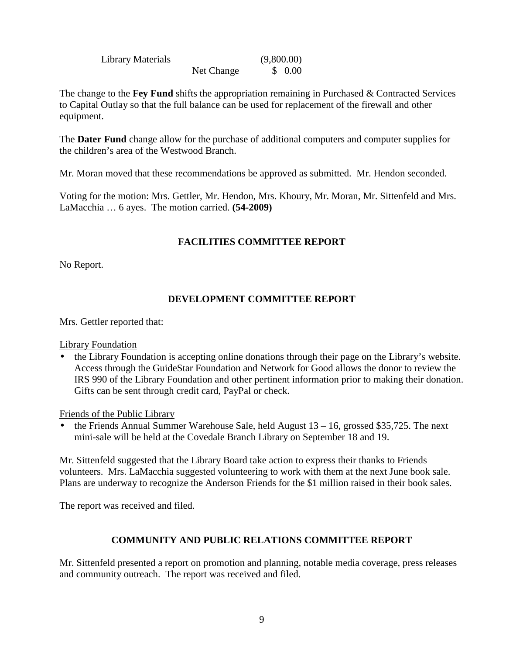| Library Materials |            | (9,800.00) |
|-------------------|------------|------------|
|                   | Net Change | \$ 0.00    |

The change to the **Fey Fund** shifts the appropriation remaining in Purchased & Contracted Services to Capital Outlay so that the full balance can be used for replacement of the firewall and other equipment.

The **Dater Fund** change allow for the purchase of additional computers and computer supplies for the children's area of the Westwood Branch.

Mr. Moran moved that these recommendations be approved as submitted. Mr. Hendon seconded.

Voting for the motion: Mrs. Gettler, Mr. Hendon, Mrs. Khoury, Mr. Moran, Mr. Sittenfeld and Mrs. LaMacchia … 6 ayes. The motion carried. **(54-2009)**

## **FACILITIES COMMITTEE REPORT**

No Report.

## **DEVELOPMENT COMMITTEE REPORT**

Mrs. Gettler reported that:

Library Foundation

• the Library Foundation is accepting online donations through their page on the Library's website. Access through the GuideStar Foundation and Network for Good allows the donor to review the IRS 990 of the Library Foundation and other pertinent information prior to making their donation. Gifts can be sent through credit card, PayPal or check.

Friends of the Public Library

the Friends Annual Summer Warehouse Sale, held August  $13 - 16$ , grossed \$35,725. The next mini-sale will be held at the Covedale Branch Library on September 18 and 19.

Mr. Sittenfeld suggested that the Library Board take action to express their thanks to Friends volunteers. Mrs. LaMacchia suggested volunteering to work with them at the next June book sale. Plans are underway to recognize the Anderson Friends for the \$1 million raised in their book sales.

The report was received and filed.

## **COMMUNITY AND PUBLIC RELATIONS COMMITTEE REPORT**

Mr. Sittenfeld presented a report on promotion and planning, notable media coverage, press releases and community outreach. The report was received and filed.